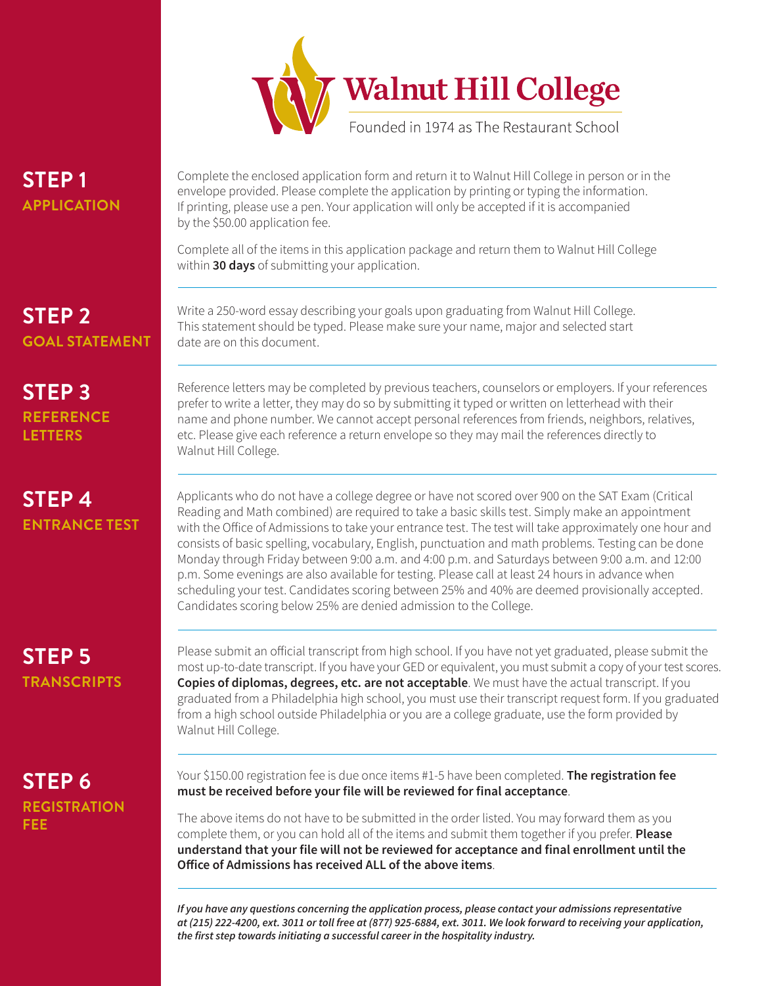

# **STEP 1 APPLICATION**

Complete the enclosed application form and return it to Walnut Hill College in person or in the envelope provided. Please complete the application by printing or typing the information. If printing, please use a pen. Your application will only be accepted if it is accompanied by the \$50.00 application fee.

Complete all of the items in this application package and return them to Walnut Hill College within **30 days** of submitting your application.

## **STEP 2 GOAL STATEMENT**

Write a 250-word essay describing your goals upon graduating from Walnut Hill College. This statement should be typed. Please make sure your name, major and selected start date are on this document.

### **STEP 3 REFERENCE LETTERS**

## **STEP 4 ENTRANCE TEST**

Reference letters may be completed by previous teachers, counselors or employers. If your references prefer to write a letter, they may do so by submitting it typed or written on letterhead with their name and phone number. We cannot accept personal references from friends, neighbors, relatives, etc. Please give each reference a return envelope so they may mail the references directly to Walnut Hill College.

Applicants who do not have a college degree or have not scored over 900 on the SAT Exam (Critical Reading and Math combined) are required to take a basic skills test. Simply make an appointment with the Office of Admissions to take your entrance test. The test will take approximately one hour and consists of basic spelling, vocabulary, English, punctuation and math problems. Testing can be done Monday through Friday between 9:00 a.m. and 4:00 p.m. and Saturdays between 9:00 a.m. and 12:00 p.m. Some evenings are also available for testing. Please call at least 24 hours in advance when scheduling your test. Candidates scoring between 25% and 40% are deemed provisionally accepted. Candidates scoring below 25% are denied admission to the College.

## **STEP 5 TRANSCRIPTS**

Please submit an official transcript from high school. If you have not yet graduated, please submit the most up-to-date transcript. If you have your GED or equivalent, you must submit a copy of your test scores. **Copies of diplomas, degrees, etc. are not acceptable**. We must have the actual transcript. If you graduated from a Philadelphia high school, you must use their transcript request form. If you graduated from a high school outside Philadelphia or you are a college graduate, use the form provided by Walnut Hill College.

## **STEP 6 REGISTRATION FEE**

Your \$150.00 registration fee is due once items #1-5 have been completed. **The registration fee must be received before your file will be reviewed for final acceptance**.

The above items do not have to be submitted in the order listed. You may forward them as you complete them, or you can hold all of the items and submit them together if you prefer. **Please understand that your file will not be reviewed for acceptance and final enrollment until the Office of Admissions has received ALL of the above items**.

*If you have any questions concerning the application process, please contact your admissions representative at (215) 222-4200, ext. 3011 or toll free at (877) 925-6884, ext. 3011. We look forward to receiving your application,*  **the first step towards initiating a successful career in the hospitality industry.**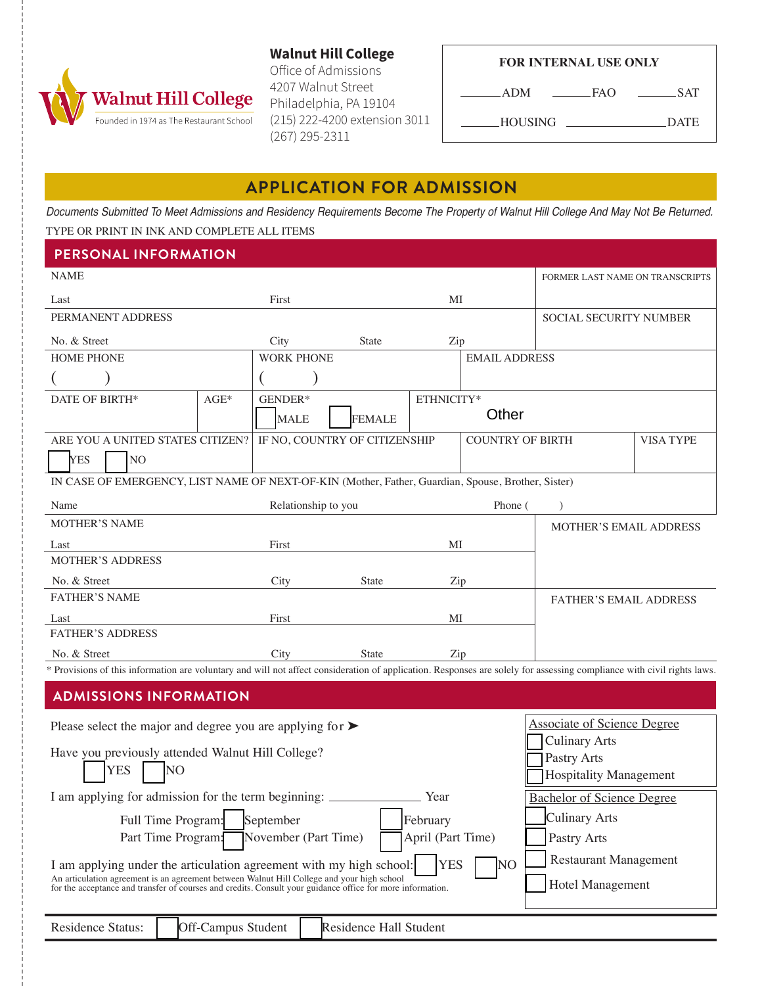

**Walnut Hill College** Office of Admissions 4207 Walnut Street Philadelphia, PA 19104 (215) 222-4200 extension 3011

 $(267)$  295-2311

|  | <b>FOR INTERNAL USE ONLY</b> |  |  |
|--|------------------------------|--|--|
|--|------------------------------|--|--|

 $\Delta$ DM  $\_$ FAO  $\_$ 

 $\_SAT$ 

- HOUSING

\_DATE

### **APPLICATION FOR ADMISSION**

Documents Submitted To Meet Admissions and Residency Requirements Become The Property of Walnut Hill College And May Not Be Returned.

#### TYPE OR PRINT IN INK AND COMPLETE ALL ITEMS

| <b>PERSONAL INFORMATION</b>                                                                                                                                                                              |                    |                               |                        |             |                         |                                    |                  |
|----------------------------------------------------------------------------------------------------------------------------------------------------------------------------------------------------------|--------------------|-------------------------------|------------------------|-------------|-------------------------|------------------------------------|------------------|
| <b>NAME</b>                                                                                                                                                                                              |                    |                               |                        |             |                         | FORMER LAST NAME ON TRANSCRIPTS    |                  |
| Last                                                                                                                                                                                                     |                    | First                         |                        | MI          |                         |                                    |                  |
| PERMANENT ADDRESS                                                                                                                                                                                        |                    |                               |                        |             |                         | <b>SOCIAL SECURITY NUMBER</b>      |                  |
| No. & Street                                                                                                                                                                                             |                    | City                          | <b>State</b>           | Zip         |                         |                                    |                  |
| HOME PHONE                                                                                                                                                                                               |                    | <b>WORK PHONE</b>             |                        |             | <b>EMAIL ADDRESS</b>    |                                    |                  |
|                                                                                                                                                                                                          |                    |                               |                        |             |                         |                                    |                  |
| DATE OF BIRTH*                                                                                                                                                                                           | $AGE*$             | GENDER*                       |                        | ETHNICITY*  |                         |                                    |                  |
|                                                                                                                                                                                                          |                    | <b>MALE</b>                   | <b>FEMALE</b>          |             | Other                   |                                    |                  |
| ARE YOU A UNITED STATES CITIZEN?                                                                                                                                                                         |                    | IF NO, COUNTRY OF CITIZENSHIP |                        |             | <b>COUNTRY OF BIRTH</b> |                                    | <b>VISA TYPE</b> |
| <b>YES</b><br>NO <sub>1</sub>                                                                                                                                                                            |                    |                               |                        |             |                         |                                    |                  |
| IN CASE OF EMERGENCY, LIST NAME OF NEXT-OF-KIN (Mother, Father, Guardian, Spouse, Brother, Sister)                                                                                                       |                    |                               |                        |             |                         |                                    |                  |
| Name                                                                                                                                                                                                     |                    | Relationship to you           |                        |             | Phone (                 | $\mathcal{E}$                      |                  |
| <b>MOTHER'S NAME</b>                                                                                                                                                                                     |                    |                               |                        |             |                         | <b>MOTHER'S EMAIL ADDRESS</b>      |                  |
| Last                                                                                                                                                                                                     |                    | First                         |                        | MI          |                         |                                    |                  |
| <b>MOTHER'S ADDRESS</b>                                                                                                                                                                                  |                    |                               |                        |             |                         |                                    |                  |
| No. & Street                                                                                                                                                                                             |                    | City                          | <b>State</b>           | Zip         |                         |                                    |                  |
| <b>FATHER'S NAME</b>                                                                                                                                                                                     |                    |                               |                        |             |                         | <b>FATHER'S EMAIL ADDRESS</b>      |                  |
| Last                                                                                                                                                                                                     |                    | First                         |                        | МI          |                         |                                    |                  |
| <b>FATHER'S ADDRESS</b>                                                                                                                                                                                  |                    |                               |                        |             |                         |                                    |                  |
| No. & Street<br>* Provisions of this information are voluntary and will not affect consideration of application. Responses are solely for assessing compliance with civil rights laws.                   |                    | City                          | State                  | Zip         |                         |                                    |                  |
|                                                                                                                                                                                                          |                    |                               |                        |             |                         |                                    |                  |
| <b>ADMISSIONS INFORMATION</b>                                                                                                                                                                            |                    |                               |                        |             |                         |                                    |                  |
| Please select the major and degree you are applying for $\blacktriangleright$                                                                                                                            |                    |                               |                        |             |                         | <b>Associate of Science Degree</b> |                  |
|                                                                                                                                                                                                          |                    |                               |                        |             | <b>Culinary Arts</b>    |                                    |                  |
| Have you previously attended Walnut Hill College?<br><b>YES</b><br>N <sub>O</sub>                                                                                                                        |                    |                               |                        | Pastry Arts |                         |                                    |                  |
| <b>Hospitality Management</b>                                                                                                                                                                            |                    |                               |                        |             |                         |                                    |                  |
| I am applying for admission for the term beginning: ____________________________<br>Year<br><b>Bachelor of Science Degree</b>                                                                            |                    |                               |                        |             |                         |                                    |                  |
| September<br>Full Time Program:<br>February                                                                                                                                                              |                    |                               |                        |             | <b>Culinary Arts</b>    |                                    |                  |
| April (Part Time)<br>Part Time Program:<br>November (Part Time)<br>Pastry Arts                                                                                                                           |                    |                               |                        |             |                         |                                    |                  |
| <b>YES</b><br>NO <sub>1</sub><br>I am applying under the articulation agreement with my high school:                                                                                                     |                    |                               |                        |             |                         | <b>Restaurant Management</b>       |                  |
| An articulation agreement is an agreement between Walnut Hill College and your high school<br>for the acceptance and transfer of courses and credits. Consult your guidance office for more information. |                    |                               |                        |             | Hotel Management        |                                    |                  |
|                                                                                                                                                                                                          |                    |                               |                        |             |                         |                                    |                  |
| Residence Status:                                                                                                                                                                                        | Off-Campus Student |                               | Residence Hall Student |             |                         |                                    |                  |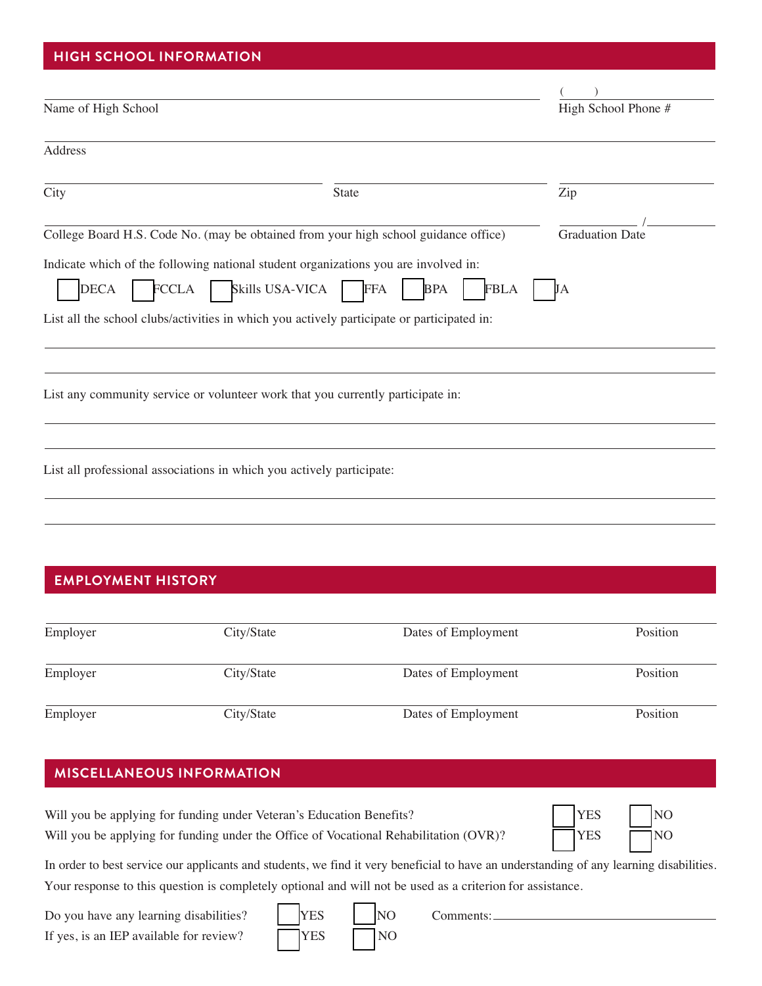#### **HIGH SCHOOL INFORMATION HIGH SCHOOL INFORMATION**

| Name of High School                                                   |                                                                                                                                                   | High School Phone #    |
|-----------------------------------------------------------------------|---------------------------------------------------------------------------------------------------------------------------------------------------|------------------------|
| <b>Address</b>                                                        |                                                                                                                                                   |                        |
| City                                                                  | State                                                                                                                                             | Zip                    |
|                                                                       | College Board H.S. Code No. (may be obtained from your high school guidance office)                                                               | <b>Graduation Date</b> |
| <b>FCCLA</b><br><b>DECA</b>                                           | Indicate which of the following national student organizations you are involved in:<br>Skills USA-VICA<br><b>FFA</b><br><b>FBLA</b><br><b>BPA</b> | JA                     |
|                                                                       | List all the school clubs/activities in which you actively participate or participated in:                                                        |                        |
|                                                                       | List any community service or volunteer work that you currently participate in:                                                                   |                        |
| List all professional associations in which you actively participate: |                                                                                                                                                   |                        |
|                                                                       |                                                                                                                                                   |                        |

### **EMPLOYMENT HISTORY EMPLOYMENT HISTORY**

| Employer | City/State | Dates of Employment | Position |
|----------|------------|---------------------|----------|
| Employer | City/State | Dates of Employment | Position |
| Employer | City/State | Dates of Employment | Position |

### **MISCELLANEOUS INFORMATION MISCELLANEOUS INFORMATION**

| Will you be applying for funding under Veteran's Education Benefits?                  | <b>YES</b>  | $\overline{\phantom{1}}$ NO |
|---------------------------------------------------------------------------------------|-------------|-----------------------------|
| Will you be applying for funding under the Office of Vocational Rehabilitation (OVR)? | <b>TYES</b> | $\Box$ NO                   |

| <b>YES</b> | INO |
|------------|-----|
| YES        | INO |

In order to best service our applicants and students, we find it very beneficial to have an understanding of any learning disabilities. Your response to this question is completely optional and will not be used as a criterion for assistance.

Do you have any learning disabilities?  $\begin{array}{|c|c|c|c|c|} \hline \text{YES} & \text{NO} & \text{Comments:} \hline \end{array}$ If yes, is an IEP available for review?  $\sqrt{\text{YES}}$  NO